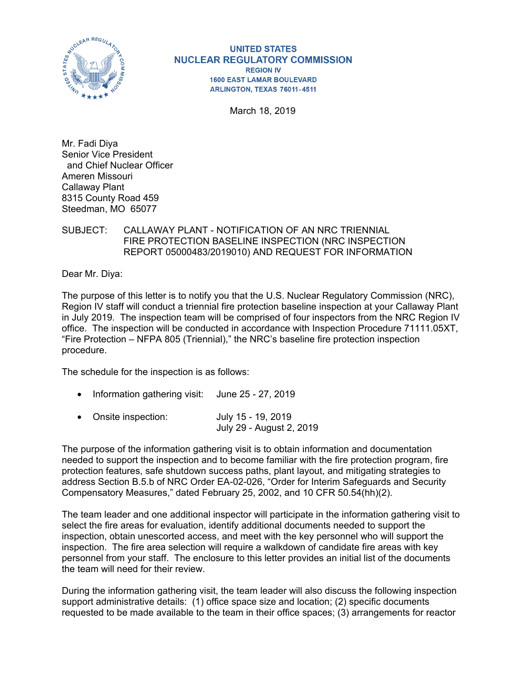

**UNITED STATES NUCLEAR REGULATORY COMMISSION REGION IV 1600 EAST LAMAR BOULEVARD** ARLINGTON, TEXAS 76011-4511

March 18, 2019

Mr. Fadi Diya Senior Vice President and Chief Nuclear Officer Ameren Missouri Callaway Plant 8315 County Road 459 Steedman, MO 65077

## SUBJECT: CALLAWAY PLANT - NOTIFICATION OF AN NRC TRIENNIAL FIRE PROTECTION BASELINE INSPECTION (NRC INSPECTION REPORT 05000483/2019010) AND REQUEST FOR INFORMATION

Dear Mr. Diya:

The purpose of this letter is to notify you that the U.S. Nuclear Regulatory Commission (NRC), Region IV staff will conduct a triennial fire protection baseline inspection at your Callaway Plant in July 2019. The inspection team will be comprised of four inspectors from the NRC Region IV office. The inspection will be conducted in accordance with Inspection Procedure 71111.05XT, "Fire Protection – NFPA 805 (Triennial)," the NRC's baseline fire protection inspection procedure.

The schedule for the inspection is as follows:

- Information gathering visit: June 25 27, 2019
- Onsite inspection: July 15 19, 2019 July 29 - August 2, 2019

The purpose of the information gathering visit is to obtain information and documentation needed to support the inspection and to become familiar with the fire protection program, fire protection features, safe shutdown success paths, plant layout, and mitigating strategies to address Section B.5.b of NRC Order EA-02-026, "Order for Interim Safeguards and Security Compensatory Measures," dated February 25, 2002, and 10 CFR 50.54(hh)(2).

The team leader and one additional inspector will participate in the information gathering visit to select the fire areas for evaluation, identify additional documents needed to support the inspection, obtain unescorted access, and meet with the key personnel who will support the inspection. The fire area selection will require a walkdown of candidate fire areas with key personnel from your staff. The enclosure to this letter provides an initial list of the documents the team will need for their review.

During the information gathering visit, the team leader will also discuss the following inspection support administrative details: (1) office space size and location; (2) specific documents requested to be made available to the team in their office spaces; (3) arrangements for reactor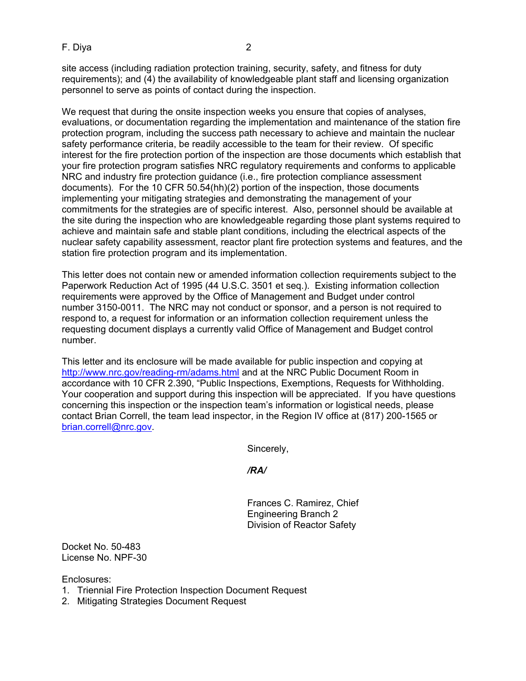F. Diya 2

site access (including radiation protection training, security, safety, and fitness for duty requirements); and (4) the availability of knowledgeable plant staff and licensing organization personnel to serve as points of contact during the inspection.

We request that during the onsite inspection weeks you ensure that copies of analyses, evaluations, or documentation regarding the implementation and maintenance of the station fire protection program, including the success path necessary to achieve and maintain the nuclear safety performance criteria, be readily accessible to the team for their review. Of specific interest for the fire protection portion of the inspection are those documents which establish that your fire protection program satisfies NRC regulatory requirements and conforms to applicable NRC and industry fire protection guidance (i.e., fire protection compliance assessment documents). For the 10 CFR 50.54(hh)(2) portion of the inspection, those documents implementing your mitigating strategies and demonstrating the management of your commitments for the strategies are of specific interest. Also, personnel should be available at the site during the inspection who are knowledgeable regarding those plant systems required to achieve and maintain safe and stable plant conditions, including the electrical aspects of the nuclear safety capability assessment, reactor plant fire protection systems and features, and the station fire protection program and its implementation.

This letter does not contain new or amended information collection requirements subject to the Paperwork Reduction Act of 1995 (44 U.S.C. 3501 et seq.). Existing information collection requirements were approved by the Office of Management and Budget under control number 3150-0011. The NRC may not conduct or sponsor, and a person is not required to respond to, a request for information or an information collection requirement unless the requesting document displays a currently valid Office of Management and Budget control number.

This letter and its enclosure will be made available for public inspection and copying at http://www.nrc.gov/reading-rm/adams.html and at the NRC Public Document Room in accordance with 10 CFR 2.390, "Public Inspections, Exemptions, Requests for Withholding. Your cooperation and support during this inspection will be appreciated. If you have questions concerning this inspection or the inspection team's information or logistical needs, please contact Brian Correll, the team lead inspector, in the Region IV office at (817) 200-1565 or brian.correll@nrc.gov.

Sincerely,

*/RA/* 

Frances C. Ramirez, Chief Engineering Branch 2 Division of Reactor Safety

Docket No. 50-483 License No. NPF-30

Enclosures:

- 1. Triennial Fire Protection Inspection Document Request
- 2. Mitigating Strategies Document Request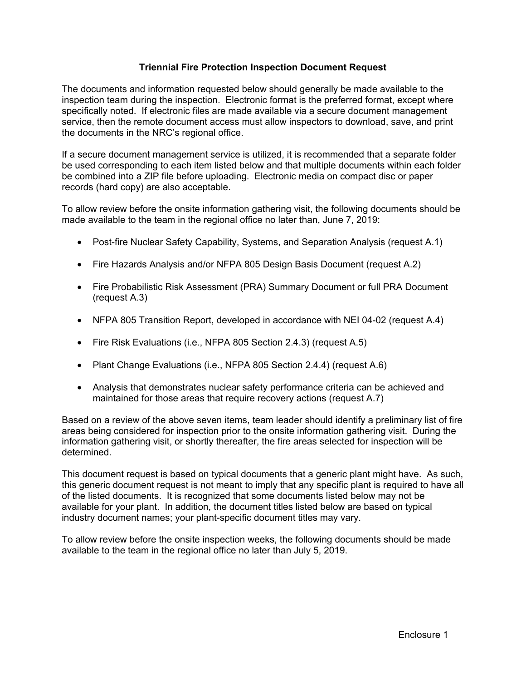## **Triennial Fire Protection Inspection Document Request**

The documents and information requested below should generally be made available to the inspection team during the inspection. Electronic format is the preferred format, except where specifically noted. If electronic files are made available via a secure document management service, then the remote document access must allow inspectors to download, save, and print the documents in the NRC's regional office.

If a secure document management service is utilized, it is recommended that a separate folder be used corresponding to each item listed below and that multiple documents within each folder be combined into a ZIP file before uploading. Electronic media on compact disc or paper records (hard copy) are also acceptable.

To allow review before the onsite information gathering visit, the following documents should be made available to the team in the regional office no later than, June 7, 2019:

- Post-fire Nuclear Safety Capability, Systems, and Separation Analysis (request A.1)
- Fire Hazards Analysis and/or NFPA 805 Design Basis Document (request A.2)
- Fire Probabilistic Risk Assessment (PRA) Summary Document or full PRA Document (request A.3)
- NFPA 805 Transition Report, developed in accordance with NEI 04-02 (request A.4)
- Fire Risk Evaluations (i.e., NFPA 805 Section 2.4.3) (request A.5)
- Plant Change Evaluations (i.e., NFPA 805 Section 2.4.4) (request A.6)
- Analysis that demonstrates nuclear safety performance criteria can be achieved and maintained for those areas that require recovery actions (request A.7)

Based on a review of the above seven items, team leader should identify a preliminary list of fire areas being considered for inspection prior to the onsite information gathering visit. During the information gathering visit, or shortly thereafter, the fire areas selected for inspection will be determined.

This document request is based on typical documents that a generic plant might have. As such, this generic document request is not meant to imply that any specific plant is required to have all of the listed documents. It is recognized that some documents listed below may not be available for your plant. In addition, the document titles listed below are based on typical industry document names; your plant-specific document titles may vary.

To allow review before the onsite inspection weeks, the following documents should be made available to the team in the regional office no later than July 5, 2019.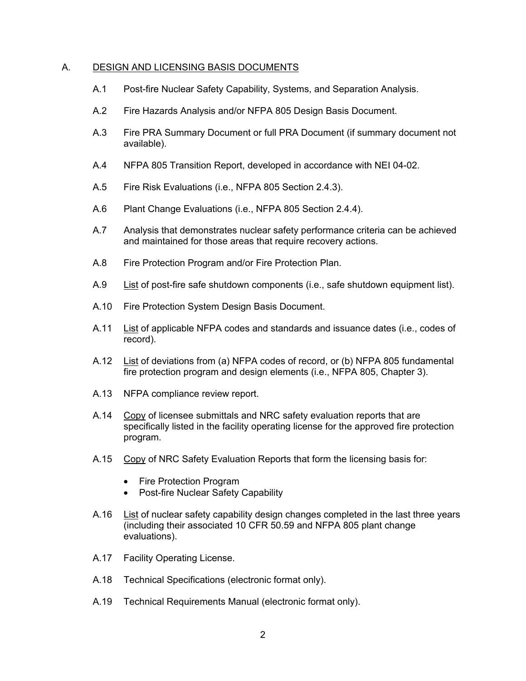### A. DESIGN AND LICENSING BASIS DOCUMENTS

- A.1 Post-fire Nuclear Safety Capability, Systems, and Separation Analysis.
- A.2 Fire Hazards Analysis and/or NFPA 805 Design Basis Document.
- A.3 Fire PRA Summary Document or full PRA Document (if summary document not available).
- A.4 NFPA 805 Transition Report, developed in accordance with NEI 04-02.
- A.5 Fire Risk Evaluations (i.e., NFPA 805 Section 2.4.3).
- A.6 Plant Change Evaluations (i.e., NFPA 805 Section 2.4.4).
- A.7 Analysis that demonstrates nuclear safety performance criteria can be achieved and maintained for those areas that require recovery actions.
- A.8 Fire Protection Program and/or Fire Protection Plan.
- A.9 List of post-fire safe shutdown components (i.e., safe shutdown equipment list).
- A.10 Fire Protection System Design Basis Document.
- A.11 List of applicable NFPA codes and standards and issuance dates (i.e., codes of record).
- A.12 List of deviations from (a) NFPA codes of record, or (b) NFPA 805 fundamental fire protection program and design elements (i.e., NFPA 805, Chapter 3).
- A.13 NFPA compliance review report.
- A.14 Copy of licensee submittals and NRC safety evaluation reports that are specifically listed in the facility operating license for the approved fire protection program.
- A.15 Copy of NRC Safety Evaluation Reports that form the licensing basis for:
	- Fire Protection Program
	- Post-fire Nuclear Safety Capability
- A.16 List of nuclear safety capability design changes completed in the last three years (including their associated 10 CFR 50.59 and NFPA 805 plant change evaluations).
- A.17 Facility Operating License.
- A.18 Technical Specifications (electronic format only).
- A.19 Technical Requirements Manual (electronic format only).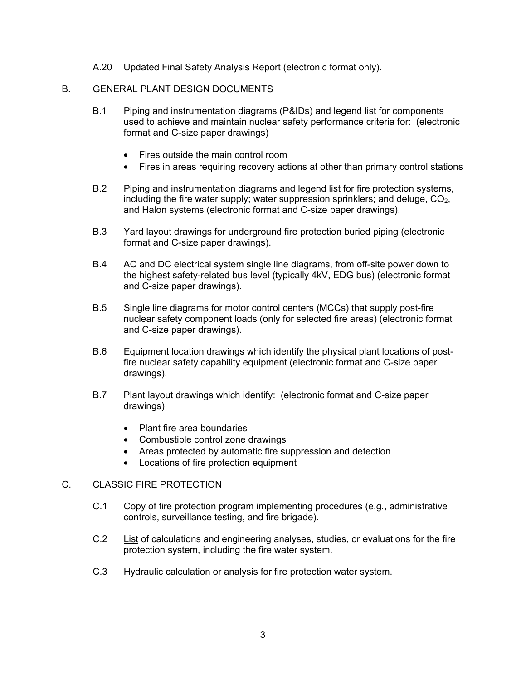A.20 Updated Final Safety Analysis Report (electronic format only).

## B. GENERAL PLANT DESIGN DOCUMENTS

- B.1 Piping and instrumentation diagrams (P&IDs) and legend list for components used to achieve and maintain nuclear safety performance criteria for: (electronic format and C-size paper drawings)
	- Fires outside the main control room
	- Fires in areas requiring recovery actions at other than primary control stations
- B.2 Piping and instrumentation diagrams and legend list for fire protection systems, including the fire water supply; water suppression sprinklers; and deluge,  $CO<sub>2</sub>$ , and Halon systems (electronic format and C-size paper drawings).
- B.3 Yard layout drawings for underground fire protection buried piping (electronic format and C-size paper drawings).
- B.4 AC and DC electrical system single line diagrams, from off-site power down to the highest safety-related bus level (typically 4kV, EDG bus) (electronic format and C-size paper drawings).
- B.5 Single line diagrams for motor control centers (MCCs) that supply post-fire nuclear safety component loads (only for selected fire areas) (electronic format and C-size paper drawings).
- B.6 Equipment location drawings which identify the physical plant locations of postfire nuclear safety capability equipment (electronic format and C-size paper drawings).
- B.7 Plant layout drawings which identify: (electronic format and C-size paper drawings)
	- Plant fire area boundaries
	- Combustible control zone drawings
	- Areas protected by automatic fire suppression and detection
	- Locations of fire protection equipment

### C. CLASSIC FIRE PROTECTION

- C.1 Copy of fire protection program implementing procedures (e.g., administrative controls, surveillance testing, and fire brigade).
- C.2 List of calculations and engineering analyses, studies, or evaluations for the fire protection system, including the fire water system.
- C.3 Hydraulic calculation or analysis for fire protection water system.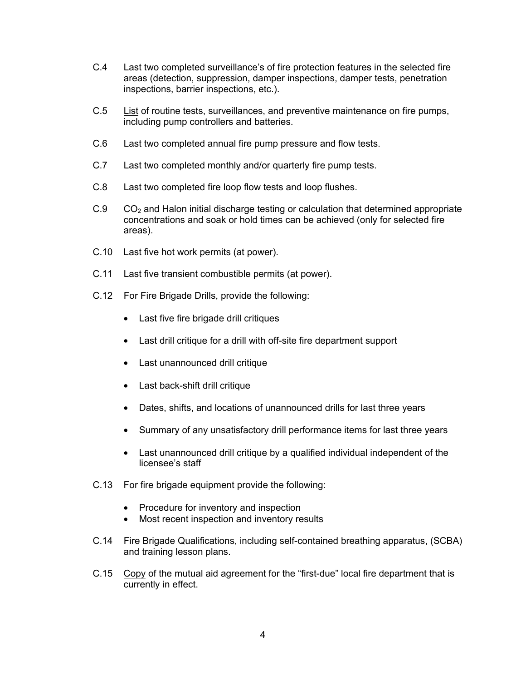- C.4 Last two completed surveillance's of fire protection features in the selected fire areas (detection, suppression, damper inspections, damper tests, penetration inspections, barrier inspections, etc.).
- C.5 List of routine tests, surveillances, and preventive maintenance on fire pumps, including pump controllers and batteries.
- C.6 Last two completed annual fire pump pressure and flow tests.
- C.7 Last two completed monthly and/or quarterly fire pump tests.
- C.8 Last two completed fire loop flow tests and loop flushes.
- $C.9$   $CO<sub>2</sub>$  and Halon initial discharge testing or calculation that determined appropriate concentrations and soak or hold times can be achieved (only for selected fire areas).
- C.10 Last five hot work permits (at power).
- C.11 Last five transient combustible permits (at power).
- C.12 For Fire Brigade Drills, provide the following:
	- Last five fire brigade drill critiques
	- Last drill critique for a drill with off-site fire department support
	- Last unannounced drill critique
	- Last back-shift drill critique
	- Dates, shifts, and locations of unannounced drills for last three years
	- Summary of any unsatisfactory drill performance items for last three years
	- Last unannounced drill critique by a qualified individual independent of the licensee's staff
- C.13 For fire brigade equipment provide the following:
	- Procedure for inventory and inspection
	- Most recent inspection and inventory results
- C.14 Fire Brigade Qualifications, including self-contained breathing apparatus, (SCBA) and training lesson plans.
- C.15 Copy of the mutual aid agreement for the "first-due" local fire department that is currently in effect.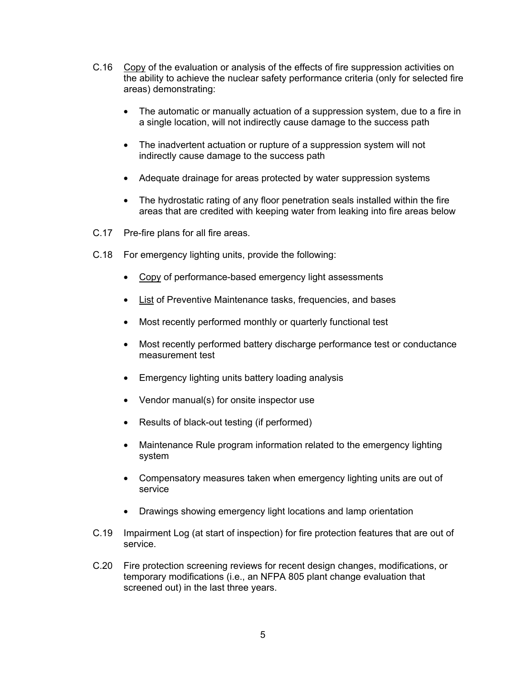- C.16 Copy of the evaluation or analysis of the effects of fire suppression activities on the ability to achieve the nuclear safety performance criteria (only for selected fire areas) demonstrating:
	- The automatic or manually actuation of a suppression system, due to a fire in a single location, will not indirectly cause damage to the success path
	- The inadvertent actuation or rupture of a suppression system will not indirectly cause damage to the success path
	- Adequate drainage for areas protected by water suppression systems
	- The hydrostatic rating of any floor penetration seals installed within the fire areas that are credited with keeping water from leaking into fire areas below
- C.17 Pre-fire plans for all fire areas.
- C.18 For emergency lighting units, provide the following:
	- Copy of performance-based emergency light assessments
	- List of Preventive Maintenance tasks, frequencies, and bases
	- Most recently performed monthly or quarterly functional test
	- Most recently performed battery discharge performance test or conductance measurement test
	- Emergency lighting units battery loading analysis
	- Vendor manual(s) for onsite inspector use
	- Results of black-out testing (if performed)
	- Maintenance Rule program information related to the emergency lighting system
	- Compensatory measures taken when emergency lighting units are out of service
	- Drawings showing emergency light locations and lamp orientation
- C.19 Impairment Log (at start of inspection) for fire protection features that are out of service.
- C.20 Fire protection screening reviews for recent design changes, modifications, or temporary modifications (i.e., an NFPA 805 plant change evaluation that screened out) in the last three years.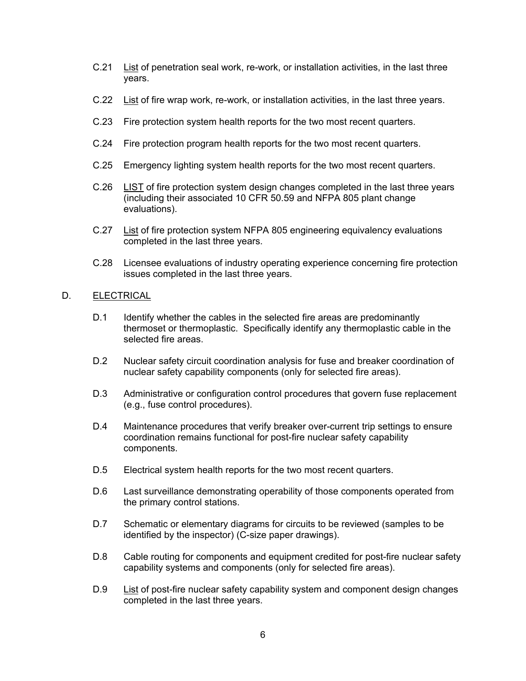- C.21 List of penetration seal work, re-work, or installation activities, in the last three years.
- C.22 List of fire wrap work, re-work, or installation activities, in the last three years.
- C.23 Fire protection system health reports for the two most recent quarters.
- C.24 Fire protection program health reports for the two most recent quarters.
- C.25 Emergency lighting system health reports for the two most recent quarters.
- C.26 LIST of fire protection system design changes completed in the last three years (including their associated 10 CFR 50.59 and NFPA 805 plant change evaluations).
- C.27 List of fire protection system NFPA 805 engineering equivalency evaluations completed in the last three years.
- C.28 Licensee evaluations of industry operating experience concerning fire protection issues completed in the last three years.

### D. ELECTRICAL

- D.1 Identify whether the cables in the selected fire areas are predominantly thermoset or thermoplastic. Specifically identify any thermoplastic cable in the selected fire areas.
- D.2 Nuclear safety circuit coordination analysis for fuse and breaker coordination of nuclear safety capability components (only for selected fire areas).
- D.3 Administrative or configuration control procedures that govern fuse replacement (e.g., fuse control procedures).
- D.4 Maintenance procedures that verify breaker over-current trip settings to ensure coordination remains functional for post-fire nuclear safety capability components.
- D.5 Electrical system health reports for the two most recent quarters.
- D.6 Last surveillance demonstrating operability of those components operated from the primary control stations.
- D.7 Schematic or elementary diagrams for circuits to be reviewed (samples to be identified by the inspector) (C-size paper drawings).
- D.8 Cable routing for components and equipment credited for post-fire nuclear safety capability systems and components (only for selected fire areas).
- D.9 List of post-fire nuclear safety capability system and component design changes completed in the last three years.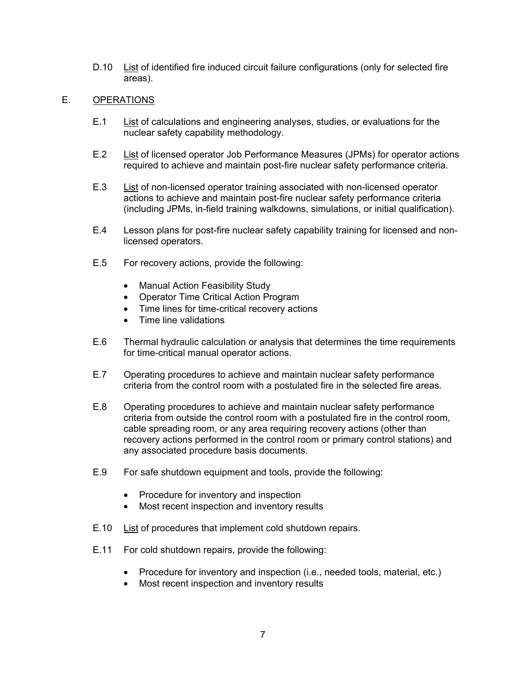D.10 List of identified fire induced circuit failure configurations (only for selected fire areas).

# E. OPERATIONS

- E.1 List of calculations and engineering analyses, studies, or evaluations for the nuclear safety capability methodology.
- E.2 List of licensed operator Job Performance Measures (JPMs) for operator actions required to achieve and maintain post-fire nuclear safety performance criteria.
- E.3 List of non-licensed operator training associated with non-licensed operator actions to achieve and maintain post-fire nuclear safety performance criteria (including JPMs, in-field training walkdowns, simulations, or initial qualification).
- E.4 Lesson plans for post-fire nuclear safety capability training for licensed and nonlicensed operators.
- E.5 For recovery actions, provide the following:
	- Manual Action Feasibility Study
	- Operator Time Critical Action Program
	- Time lines for time-critical recovery actions
	- Time line validations
- E.6 Thermal hydraulic calculation or analysis that determines the time requirements for time-critical manual operator actions.
- E.7 Operating procedures to achieve and maintain nuclear safety performance criteria from the control room with a postulated fire in the selected fire areas.
- E.8 Operating procedures to achieve and maintain nuclear safety performance criteria from outside the control room with a postulated fire in the control room, cable spreading room, or any area requiring recovery actions (other than recovery actions performed in the control room or primary control stations) and any associated procedure basis documents.
- E.9 For safe shutdown equipment and tools, provide the following:
	- Procedure for inventory and inspection
	- Most recent inspection and inventory results
- E.10 List of procedures that implement cold shutdown repairs.
- E.11 For cold shutdown repairs, provide the following:
	- Procedure for inventory and inspection (i.e., needed tools, material, etc.)
	- Most recent inspection and inventory results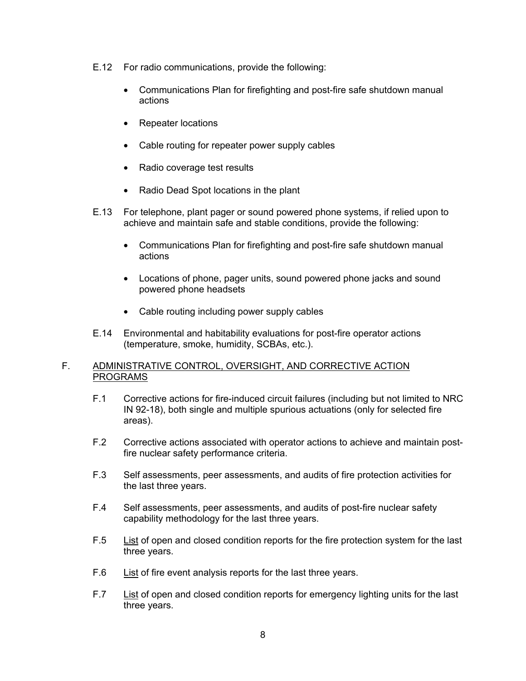- E.12 For radio communications, provide the following:
	- Communications Plan for firefighting and post-fire safe shutdown manual actions
	- Repeater locations
	- Cable routing for repeater power supply cables
	- Radio coverage test results
	- Radio Dead Spot locations in the plant
- E.13 For telephone, plant pager or sound powered phone systems, if relied upon to achieve and maintain safe and stable conditions, provide the following:
	- Communications Plan for firefighting and post-fire safe shutdown manual actions
	- Locations of phone, pager units, sound powered phone jacks and sound powered phone headsets
	- Cable routing including power supply cables
- E.14 Environmental and habitability evaluations for post-fire operator actions (temperature, smoke, humidity, SCBAs, etc.).

## F. ADMINISTRATIVE CONTROL, OVERSIGHT, AND CORRECTIVE ACTION PROGRAMS

- F.1 Corrective actions for fire-induced circuit failures (including but not limited to NRC IN 92-18), both single and multiple spurious actuations (only for selected fire areas).
- F.2 Corrective actions associated with operator actions to achieve and maintain postfire nuclear safety performance criteria.
- F.3 Self assessments, peer assessments, and audits of fire protection activities for the last three years.
- F.4 Self assessments, peer assessments, and audits of post-fire nuclear safety capability methodology for the last three years.
- F.5 List of open and closed condition reports for the fire protection system for the last three years.
- F.6 List of fire event analysis reports for the last three years.
- F.7 List of open and closed condition reports for emergency lighting units for the last three years.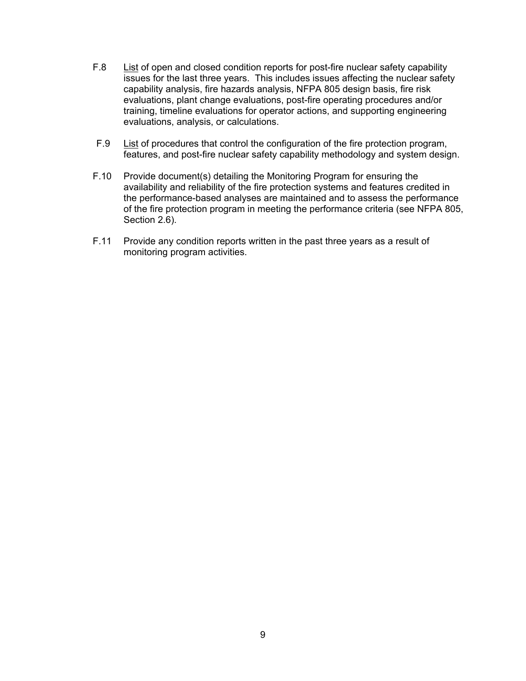- F.8 List of open and closed condition reports for post-fire nuclear safety capability issues for the last three years. This includes issues affecting the nuclear safety capability analysis, fire hazards analysis, NFPA 805 design basis, fire risk evaluations, plant change evaluations, post-fire operating procedures and/or training, timeline evaluations for operator actions, and supporting engineering evaluations, analysis, or calculations.
- F.9 List of procedures that control the configuration of the fire protection program, features, and post-fire nuclear safety capability methodology and system design.
- F.10 Provide document(s) detailing the Monitoring Program for ensuring the availability and reliability of the fire protection systems and features credited in the performance-based analyses are maintained and to assess the performance of the fire protection program in meeting the performance criteria (see NFPA 805, Section 2.6).
- F.11 Provide any condition reports written in the past three years as a result of monitoring program activities.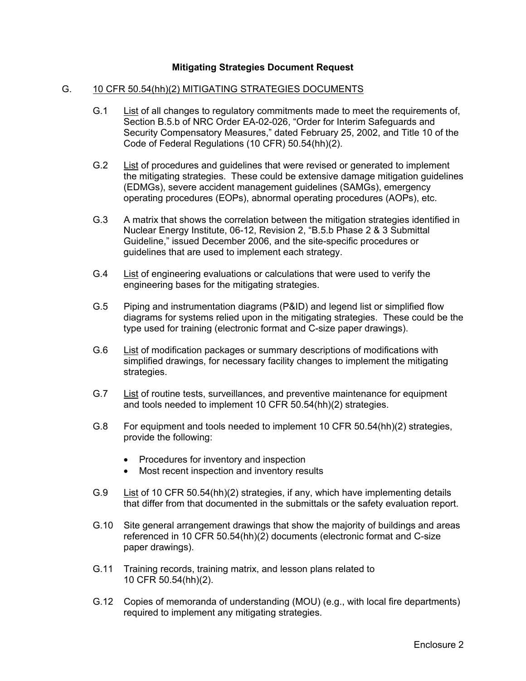## **Mitigating Strategies Document Request**

### G. 10 CFR 50.54(hh)(2) MITIGATING STRATEGIES DOCUMENTS

- G.1 List of all changes to regulatory commitments made to meet the requirements of, Section B.5.b of NRC Order EA-02-026, "Order for Interim Safeguards and Security Compensatory Measures," dated February 25, 2002, and Title 10 of the Code of Federal Regulations (10 CFR) 50.54(hh)(2).
- G.2 List of procedures and guidelines that were revised or generated to implement the mitigating strategies. These could be extensive damage mitigation guidelines (EDMGs), severe accident management guidelines (SAMGs), emergency operating procedures (EOPs), abnormal operating procedures (AOPs), etc.
- G.3 A matrix that shows the correlation between the mitigation strategies identified in Nuclear Energy Institute, 06-12, Revision 2, "B.5.b Phase 2 & 3 Submittal Guideline," issued December 2006, and the site-specific procedures or guidelines that are used to implement each strategy.
- G.4 List of engineering evaluations or calculations that were used to verify the engineering bases for the mitigating strategies.
- G.5 Piping and instrumentation diagrams (P&ID) and legend list or simplified flow diagrams for systems relied upon in the mitigating strategies. These could be the type used for training (electronic format and C-size paper drawings).
- G.6 List of modification packages or summary descriptions of modifications with simplified drawings, for necessary facility changes to implement the mitigating strategies.
- G.7 List of routine tests, surveillances, and preventive maintenance for equipment and tools needed to implement 10 CFR 50.54(hh)(2) strategies.
- G.8 For equipment and tools needed to implement 10 CFR 50.54(hh)(2) strategies, provide the following:
	- Procedures for inventory and inspection
	- Most recent inspection and inventory results
- G.9 List of 10 CFR 50.54(hh)(2) strategies, if any, which have implementing details that differ from that documented in the submittals or the safety evaluation report.
- G.10 Site general arrangement drawings that show the majority of buildings and areas referenced in 10 CFR 50.54(hh)(2) documents (electronic format and C-size paper drawings).
- G.11 Training records, training matrix, and lesson plans related to 10 CFR 50.54(hh)(2).
- G.12 Copies of memoranda of understanding (MOU) (e.g., with local fire departments) required to implement any mitigating strategies.